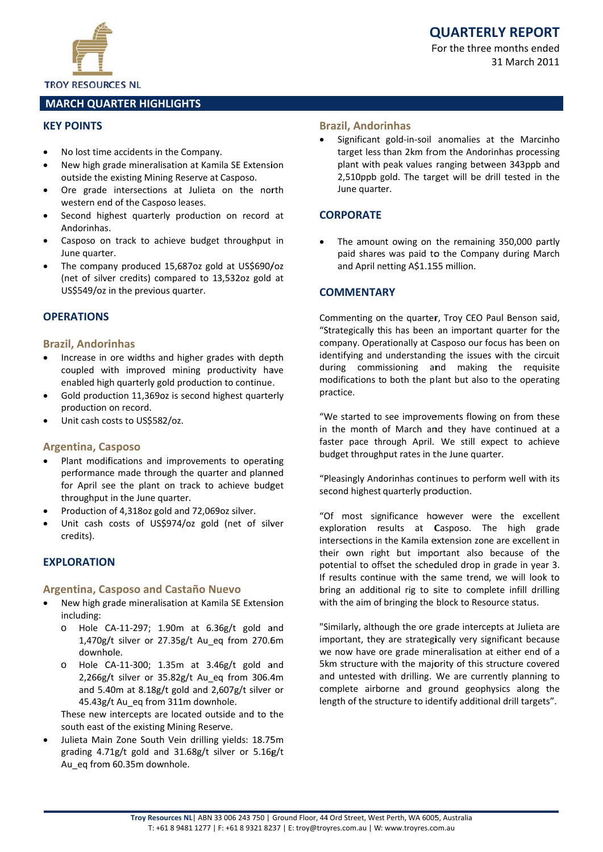



**TROY RESOURCES NL** 

## **MARCH QUARTER HIGHLIGHTS**

#### **KEY POINTS**

- No lost time accidents in the Company.
- New high grade mineralisation at Kamila SE Extension outside the existing Mining Reserve at Casposo.
- Ore grade intersections at Julieta on the north western end of the Casposo leases.
- Second highest quarterly production on record at Andorinhas.
- Casposo on track to achieve budget throughput in June quarter.
- The company produced 15,687oz gold at US\$690/oz (net of silver credits) compared to 13,532oz gold at US\$549/oz in the previous quarter.

## **OPERATIONS**

#### **Brazil, Andorinhas**

- Increase in ore widths and higher grades with depth coupled with improved mining productivity have enabled high quarterly gold production to continue.
- Gold production 11,369oz is second highest quarterly production on record.
- Unit cash costs to US\$582/oz.

#### **Argentina, Casposo**

- Plant modifications and improvements to operating performance made through the quarter and planned for April see the plant on track to achieve budget throughput in the June quarter.
- Production of 4,318oz gold and 72,069oz silver.
- Unit cash costs of US\$974/oz gold (net of silver credits).

#### **FXPLORATION**

#### **Argentina, Casposo and Castaño Nuevo**

- New high grade mineralisation at Kamila SE Extension including:
	- Hole CA-11-297; 1.90m at 6.36g/t gold and  $\Omega$ 1,470g/t silver or 27.35g/t Au eq from 270.6m downhole.
	- Hole CA-11-300; 1.35m at 3.46g/t gold and  $\Omega$ 2,266g/t silver or 35.82g/t Au eq from 306.4m and 5.40m at 8.18g/t gold and  $2,607g/t$  silver or 45.43g/t Au eq from 311m downhole.

These new intercepts are located outside and to the south east of the existing Mining Reserve.

Julieta Main Zone South Vein drilling yields: 18.75m grading 4.71g/t gold and 31.68g/t silver or 5.16g/t Au eq from 60.35m downhole.

#### **Brazil, Andorinhas**

Significant gold-in-soil anomalies at the Marcinho target less than 2km from the Andorinhas processing plant with peak values ranging between 343ppb and 2.510ppb gold. The target will be drill tested in the June quarter.

## **CORPORATE**

The amount owing on the remaining 350,000 partly paid shares was paid to the Company during March and April netting A\$1.155 million.

#### **COMMENTARY**

Commenting on the quarter, Troy CEO Paul Benson said, "Strategically this has been an important quarter for the company. Operationally at Casposo our focus has been on identifying and understanding the issues with the circuit during commissioning and making the requisite modifications to both the plant but also to the operating practice.

"We started to see improvements flowing on from these in the month of March and they have continued at a faster pace through April. We still expect to achieve budget throughput rates in the June quarter.

"Pleasingly Andorinhas continues to perform well with its second highest quarterly production.

"Of most significance however were the excellent exploration results at Casposo. The high grade intersections in the Kamila extension zone are excellent in their own right but important also because of the potential to offset the scheduled drop in grade in year 3. If results continue with the same trend, we will look to bring an additional rig to site to complete infill drilling with the aim of bringing the block to Resource status.

"Similarly, although the ore grade intercepts at Julieta are important, they are strategically very significant because we now have ore grade mineralisation at either end of a 5km structure with the majority of this structure covered and untested with drilling. We are currently planning to complete airborne and ground geophysics along the length of the structure to identify additional drill targets".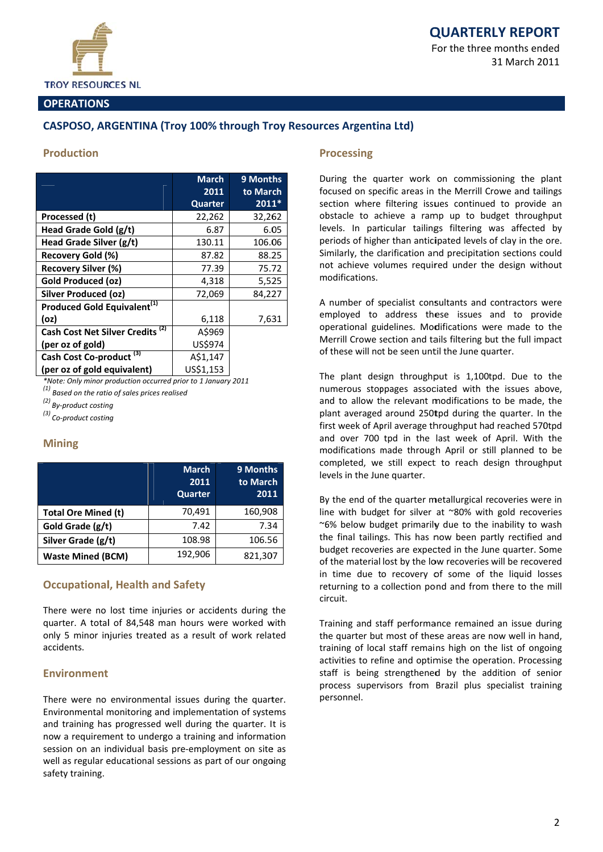

For the three months ended 31 March 2011

## **OPERATIONS**

# **CASPOSO, ARGENTINA (Troy 100% through Troy Resources Argentina Ltd)**

#### **Production**

|                                             | <b>March</b><br>2011 | 9 Months<br>to March |
|---------------------------------------------|----------------------|----------------------|
|                                             | Quarter              | $2011*$              |
| Processed (t)                               | 22,262               | 32,262               |
| Head Grade Gold (g/t)                       | 6.87                 | 6.05                 |
| Head Grade Silver (g/t)                     | 130.11               | 106.06               |
| Recovery Gold (%)                           | 87.82                | 88.25                |
| Recovery Silver (%)                         | 77.39                | 75.72                |
| Gold Produced (oz)                          | 4,318                | 5,525                |
| Silver Produced (oz)                        | 72,069               | 84,227               |
| Produced Gold Equivalent <sup>(1)</sup>     |                      |                      |
| (oz)                                        | 6,118                | 7,631                |
| Cash Cost Net Silver Credits <sup>(2)</sup> | A\$969               |                      |
| (per oz of gold)                            | US\$974              |                      |
| (3)<br><b>Cash Cost Co-product</b>          | A\$1.147             |                      |
| (per oz of gold equivalent)                 | US\$1,153            |                      |

\*Note: Only minor production occurred prior to 1 January 2011

 $(1)$  Based on the ratio of sales prices realised

 $\overset{(2)}{~~}$  By-product costing

 $^{(3)}$  Co-product costing

## **Mining**

|                          | <b>March</b><br>2011<br>Quarter | 9 Months<br>to March<br>2011 |
|--------------------------|---------------------------------|------------------------------|
| Total Ore Mined (t)      | 70,491                          | 160,908                      |
| Gold Grade (g/t)         | 7.42                            | 7.34                         |
| Silver Grade (g/t)       | 108.98                          | 106.56                       |
| <b>Waste Mined (BCM)</b> | 192,906                         | 821,307                      |

## **Occupational, Health and Safety**

There were no lost time injuries or accidents during the quarter. A total of 84,548 man hours were worked with only 5 minor injuries treated as a result of work related accidents.

## **Fnvironment**

There were no environmental issues during the quarter. Environmental monitoring and implementation of systems and training has progressed well during the quarter. It is now a requirement to undergo a training and information session on an individual basis pre-employment on site as well as regular educational sessions as part of our ongoing safety training.

#### **Processing**

During the quarter work on commissioning the plant focused on specific areas in the Merrill Crowe and tailings section where filtering issues continued to provide an obstacle to achieve a ramp up to budget throughput levels. In particular tailings filtering was affected by periods of higher than anticipated levels of clay in the ore. Similarly, the clarification and precipitation sections could not achieve volumes required under the design without modifications.

A number of specialist consultants and contractors were employed to address these issues and to provide operational guidelines. Modifications were made to the Merrill Crowe section and tails filtering but the full impact of these will not be seen until the June quarter.

The plant design throughput is 1,100tpd. Due to the numerous stoppages associated with the issues above, and to allow the relevant modifications to be made, the plant averaged around 250tpd during the quarter. In the first week of April average throughput had reached 570tpd and over 700 tpd in the last week of April. With the modifications made through April or still planned to be completed, we still expect to reach design throughput levels in the June quarter.

By the end of the quarter metallurgical recoveries were in line with budget for silver at ~80% with gold recoveries ~6% below budget primarily due to the inability to wash the final tailings. This has now been partly rectified and budget recoveries are expected in the June quarter. Some of the material lost by the low recoveries will be recovered in time due to recovery of some of the liquid losses returning to a collection pond and from there to the mill circuit.

Training and staff performance remained an issue during the quarter but most of these areas are now well in hand, training of local staff remains high on the list of ongoing activities to refine and optimise the operation. Processing staff is being strengthened by the addition of senior process supervisors from Brazil plus specialist training personnel.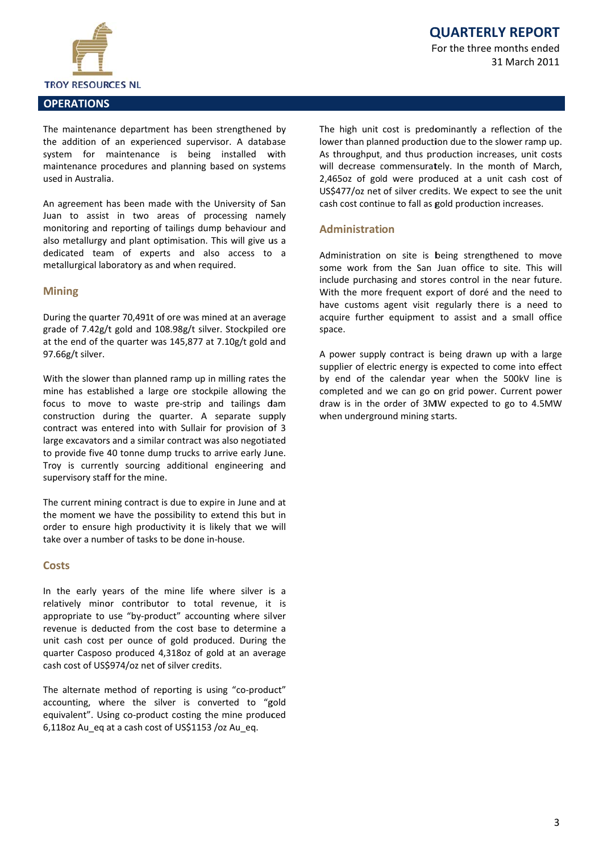

31 March 2011

#### **OPERATIONS**

The maintenance department has been strengthened by the addition of an experienced supervisor. A database system for maintenance is being installed with maintenance procedures and planning based on systems used in Australia.

An agreement has been made with the University of San Juan to assist in two areas of processing namely monitoring and reporting of tailings dump behaviour and also metallurgy and plant optimisation. This will give us a dedicated team of experts and also access to a metallurgical laboratory as and when required.

## **Mining**

During the quarter 70.491t of ore was mined at an average grade of 7.42g/t gold and 108.98g/t silver. Stockpiled ore at the end of the quarter was 145,877 at 7.10g/t gold and 97.66g/t silver.

With the slower than planned ramp up in milling rates the mine has established a large ore stockpile allowing the focus to move to waste pre-strip and tailings dam construction during the quarter. A separate supply contract was entered into with Sullair for provision of 3 large excavators and a similar contract was also negotiated to provide five 40 tonne dump trucks to arrive early June. Troy is currently sourcing additional engineering and supervisory staff for the mine.

The current mining contract is due to expire in June and at the moment we have the possibility to extend this but in order to ensure high productivity it is likely that we will take over a number of tasks to be done in-house.

#### **Costs**

In the early years of the mine life where silver is a relatively minor contributor to total revenue, it is appropriate to use "by-product" accounting where silver revenue is deducted from the cost base to determine a unit cash cost per ounce of gold produced. During the quarter Casposo produced 4,318oz of gold at an average cash cost of US\$974/oz net of silver credits.

The alternate method of reporting is using "co-product" accounting, where the silver is converted to "gold equivalent". Using co-product costing the mine produced 6,118oz Au eg at a cash cost of US\$1153 /oz Au eg.

The high unit cost is predominantly a reflection of the lower than planned production due to the slower ramp up. As throughput, and thus production increases, unit costs will decrease commensurately. In the month of March, 2,465oz of gold were produced at a unit cash cost of US\$477/oz net of silver credits. We expect to see the unit cash cost continue to fall as gold production increases.

## **Administration**

Administration on site is being strengthened to move some work from the San Juan office to site. This will include purchasing and stores control in the near future. With the more frequent export of doré and the need to have customs agent visit regularly there is a need to acquire further equipment to assist and a small office space.

A power supply contract is being drawn up with a large supplier of electric energy is expected to come into effect by end of the calendar year when the 500kV line is completed and we can go on grid power. Current power draw is in the order of 3MW expected to go to 4.5MW when underground mining starts.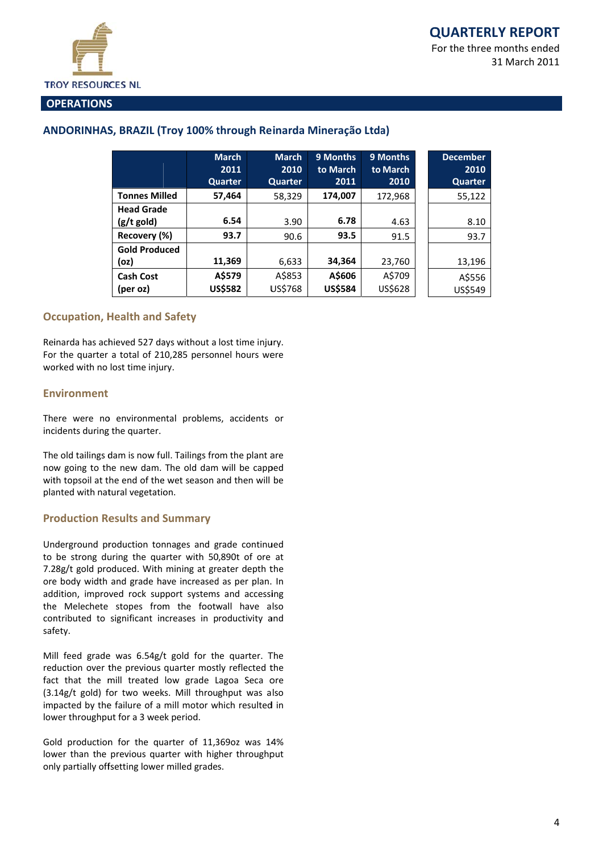

#### **OPERATIONS**

# ANDORINHAS, BRAZIL (Troy 100% through Reinarda Mineração Ltda)

|                      | <b>March</b><br>2011 | <b>March</b><br>2010 | 9 Months<br>to March | 9 Months<br>to March | <b>December</b><br>2010 |
|----------------------|----------------------|----------------------|----------------------|----------------------|-------------------------|
|                      | Quarter              | Quarter              | 2011                 | 2010                 | Quarter                 |
| <b>Tonnes Milled</b> | 57,464               | 58,329               | 174,007              | 172,968              | 55,122                  |
| <b>Head Grade</b>    |                      |                      |                      |                      |                         |
| (g/t gold)           | 6.54                 | 3.90                 | 6.78                 | 4.63                 | 8.10                    |
| Recovery (%)         | 93.7                 | 90.6                 | 93.5                 | 91.5                 | 93.7                    |
| <b>Gold Produced</b> |                      |                      |                      |                      |                         |
| (oz                  | 11,369               | 6,633                | 34,364               | 23,760               | 13,196                  |
| <b>Cash Cost</b>     | A\$579               | A\$853               | A\$606               | A\$709               | A\$556                  |
| (per oz)             | <b>US\$582</b>       | US\$768              | <b>US\$584</b>       | US\$628              | US\$549                 |

## **Occupation, Health and Safety**

Reinarda has achieved 527 days without a lost time injury. For the quarter a total of 210,285 personnel hours were worked with no lost time injury.

#### **Environment**

There were no environmental problems, accidents or incidents during the quarter.

The old tailings dam is now full. Tailings from the plant are now going to the new dam. The old dam will be capped with topsoil at the end of the wet season and then will be planted with natural vegetation.

## **Production Results and Summary**

Underground production tonnages and grade continued to be strong during the quarter with 50,890t of ore at 7.28g/t gold produced. With mining at greater depth the ore body width and grade have increased as per plan. In addition, improved rock support systems and accessing the Melechete stopes from the footwall have also contributed to significant increases in productivity and safety.

Mill feed grade was 6.54g/t gold for the quarter. The reduction over the previous quarter mostly reflected the fact that the mill treated low grade Lagoa Seca ore (3.14g/t gold) for two weeks. Mill throughput was also impacted by the failure of a mill motor which resulted in lower throughput for a 3 week period.

Gold production for the quarter of 11,369oz was 14% lower than the previous quarter with higher throughput only partially offsetting lower milled grades.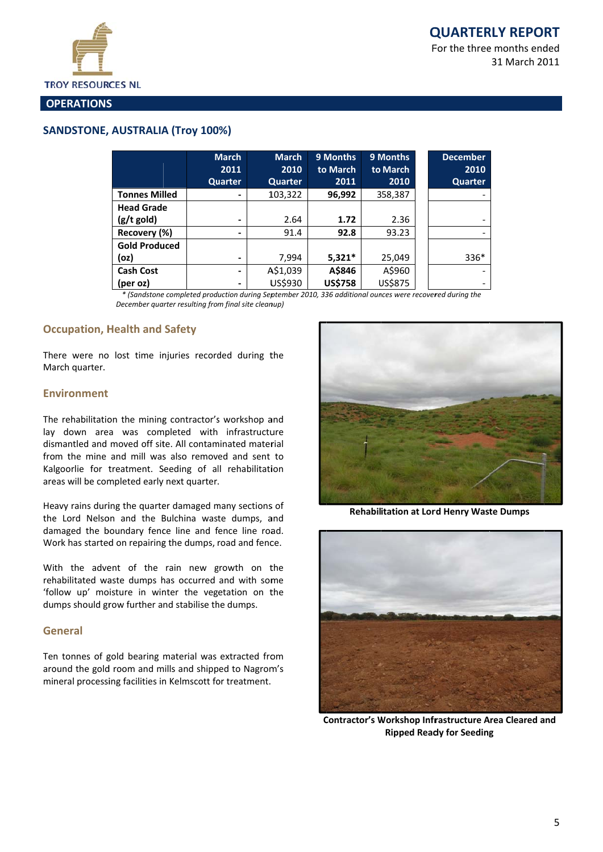31 March 2011



#### **OPERATIONS**

# **SANDSTONE, AUSTRALIA (Troy 100%)**

|                      | <b>March</b><br>2011 | <b>March</b><br>2010 | 9 Months<br>to March | 9 Months<br>to March | <b>December</b><br>2010 |
|----------------------|----------------------|----------------------|----------------------|----------------------|-------------------------|
|                      | <b>Quarter</b>       | Quarter              | 2011                 | 2010                 | Quarter                 |
| <b>Tonnes Milled</b> |                      | 103,322              | 96,992               | 358,387              |                         |
| <b>Head Grade</b>    |                      |                      |                      |                      |                         |
| $(g/t$ gold)         | -                    | 2.64                 | 1.72                 | 2.36                 |                         |
| Recovery (%)         | -                    | 91.4                 | 92.8                 | 93.23                |                         |
| <b>Gold Produced</b> |                      |                      |                      |                      |                         |
| (oz)                 |                      | 7,994                | $5,321*$             | 25,049               | $336*$                  |
| <b>Cash Cost</b>     | ۰.                   | A\$1,039             | A\$846               | A\$960               |                         |
| (per oz)             | -                    | US\$930              | <b>US\$758</b>       | US\$875              |                         |

\* (Sandstone completed production during September 2010, 336 additional ounces were recovered during the December quarter resulting from final site cleanup)

# **Occupation, Health and Safety**

There were no lost time injuries recorded during the March quarter.

#### **Environment**

The rehabilitation the mining contractor's workshop and lay down area was completed with infrastructure dismantled and moved off site. All contaminated material from the mine and mill was also removed and sent to Kalgoorlie for treatment. Seeding of all rehabilitation areas will be completed early next quarter.

Heavy rains during the quarter damaged many sections of the Lord Nelson and the Bulchina waste dumps, and damaged the boundary fence line and fence line road. Work has started on repairing the dumps, road and fence.

With the advent of the rain new growth on the rehabilitated waste dumps has occurred and with some 'follow up' moisture in winter the vegetation on the dumps should grow further and stabilise the dumps.

#### **General**

Ten tonnes of gold bearing material was extracted from around the gold room and mills and shipped to Nagrom's mineral processing facilities in Kelmscott for treatment.



**Rehabilitation at Lord Henry Waste Dumps** 



**Contractor's Workshop Infrastructure Area Cleared and Ripped Ready for Seeding**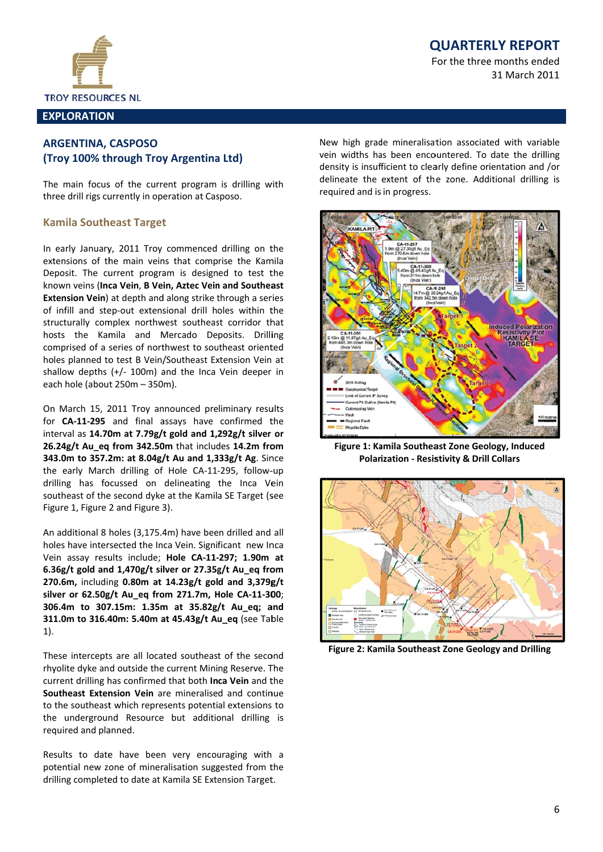

#### **EXPLORATION**

# **ARGENTINA, CASPOSO** (Troy 100% through Troy Argentina Ltd)

The main focus of the current program is drilling with three drill rigs currently in operation at Casposo.

## **Kamila Southeast Target**

In early January, 2011 Troy commenced drilling on the extensions of the main veins that comprise the Kamila Deposit. The current program is designed to test the known veins (Inca Vein, B Vein, Aztec Vein and Southeast **Extension Vein**) at depth and along strike through a series of infill and step-out extensional drill holes within the structurally complex northwest southeast corridor that hosts the Kamila and Mercado Deposits. Drilling comprised of a series of northwest to southeast oriented holes planned to test B Vein/Southeast Extension Vein at shallow depths  $(+/- 100m)$  and the Inca Vein deeper in each hole (about 250m - 350m).

On March 15, 2011 Troy announced preliminary results for CA-11-295 and final assays have confirmed the interval as 14.70m at 7.79g/t gold and 1,292g/t silver or 26.24g/t Au eq from 342.50m that includes 14.2m from 343.0m to 357.2m: at 8.04g/t Au and 1,333g/t Ag. Since the early March drilling of Hole CA-11-295, follow-up drilling has focussed on delineating the Inca Vein southeast of the second dyke at the Kamila SE Target (see Figure 1, Figure 2 and Figure 3).

An additional 8 holes (3,175.4m) have been drilled and all holes have intersected the Inca Vein. Significant new Inca Vein assay results include; Hole CA-11-297; 1.90m at 6.36g/t gold and 1,470g/t silver or 27.35g/t Au\_eq from 270.6m, including 0.80m at 14.23g/t gold and 3,379g/t silver or 62.50g/t Au\_eq from 271.7m, Hole CA-11-300; 306.4m to 307.15m: 1.35m at 35.82g/t Au\_eq; and 311.0m to 316.40m: 5.40m at 45.43g/t Au\_eq (see Table  $1).$ 

These intercepts are all located southeast of the second rhyolite dyke and outside the current Mining Reserve. The current drilling has confirmed that both Inca Vein and the Southeast Extension Vein are mineralised and continue to the southeast which represents potential extensions to the underground Resource but additional drilling is required and planned.

Results to date have been very encouraging with a potential new zone of mineralisation suggested from the drilling completed to date at Kamila SE Extension Target.

# **QUARTERLY REPORT**

For the three months ended 31 March 2011

New high grade mineralisation associated with variable vein widths has been encountered. To date the drilling density is insufficient to clearly define orientation and /or delineate the extent of the zone. Additional drilling is required and is in progress.



Figure 1: Kamila Southeast Zone Geology, Induced **Polarization - Resistivity & Drill Collars** 



Figure 2: Kamila Southeast Zone Geology and Drilling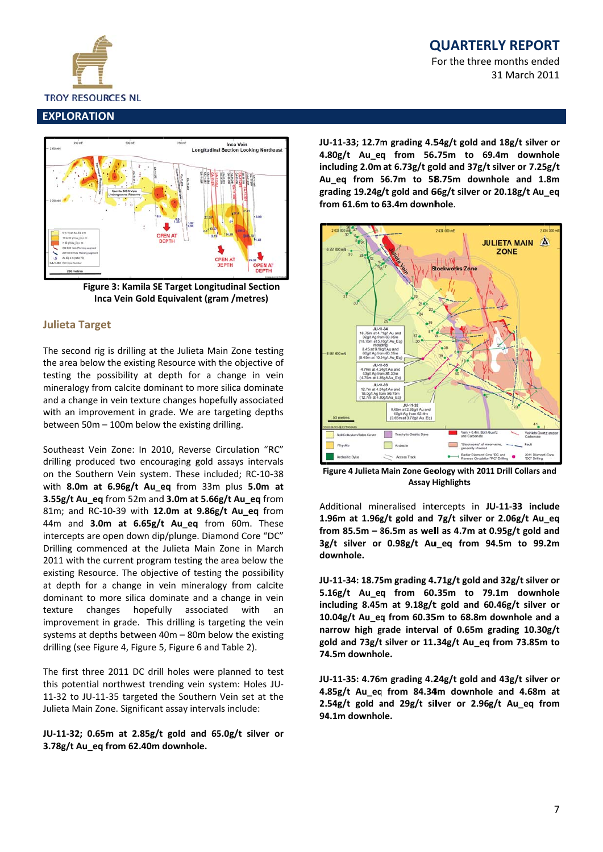

For the three months ended 31 March 2011

# **EXPLORATION**



Figure 3: Kamila SE Target Longitudinal Section Inca Vein Gold Equivalent (gram /metres)

# **Julieta Target**

The second rig is drilling at the Julieta Main Zone testing the area below the existing Resource with the objective of testing the possibility at depth for a change in vein mineralogy from calcite dominant to more silica dominate and a change in vein texture changes hopefully associated with an improvement in grade. We are targeting depths between 50m - 100m below the existing drilling.

Southeast Vein Zone: In 2010, Reverse Circulation "RC" drilling produced two encouraging gold assays intervals on the Southern Vein system. These included: RC-10-38 with 8.0m at 6.96g/t Au\_eq from 33m plus 5.0m at 3.55g/t Au\_eq from 52m and 3.0m at 5.66g/t Au\_eq from 81m; and RC-10-39 with 12.0m at 9.86g/t Au eq from 44m and 3.0m at 6.65g/t Au\_eq from 60m. These intercepts are open down dip/plunge. Diamond Core "DC" Drilling commenced at the Julieta Main Zone in March 2011 with the current program testing the area below the existing Resource. The objective of testing the possibility at depth for a change in vein mineralogy from calcite dominant to more silica dominate and a change in vein texture changes hopefully associated with an improvement in grade. This drilling is targeting the vein systems at depths between 40m - 80m below the existing drilling (see Figure 4, Figure 5, Figure 6 and Table 2).

The first three 2011 DC drill holes were planned to test this potential northwest trending vein system: Holes JU-11-32 to JU-11-35 targeted the Southern Vein set at the Julieta Main Zone. Significant assay intervals include:

## JU-11-32; 0.65m at 2.85g/t gold and 65.0g/t silver or 3.78g/t Au\_eq from 62.40m downhole.

JU-11-33; 12.7m grading 4.54g/t gold and 18g/t silver or 4.80g/t Au\_eq from 56.75m to 69.4m downhole including 2.0m at 6.73g/t gold and 37g/t silver or 7.25g/t Au eq from 56.7m to 58.75m downhole and 1.8m grading 19.24g/t gold and 66g/t silver or 20.18g/t Au\_eq from 61.6m to 63.4m downhole.



Figure 4 Julieta Main Zone Geology with 2011 Drill Collars and **Assay Highlights** 

Additional mineralised intercepts in JU-11-33 include 1.96m at 1.96g/t gold and 7g/t silver or 2.06g/t Au\_eq from 85.5m  $-$  86.5m as well as 4.7m at 0.95g/t gold and 3g/t silver or 0.98g/t Au\_eq from 94.5m to 99.2m downhole.

JU-11-34: 18.75m grading 4.71g/t gold and 32g/t silver or 5.16g/t Au eq from 60.35m to 79.1m downhole including 8.45m at 9.18g/t gold and 60.46g/t silver or 10.04g/t Au\_eq from 60.35m to 68.8m downhole and a narrow high grade interval of 0.65m grading 10.30g/t gold and 73g/t silver or 11.34g/t Au eq from 73.85m to 74.5m downhole.

JU-11-35: 4.76m grading 4.24g/t gold and 43g/t silver or 4.85g/t Au\_eq from 84.34m downhole and 4.68m at 2.54g/t gold and 29g/t silver or 2.96g/t Au eq from 94.1m downhole.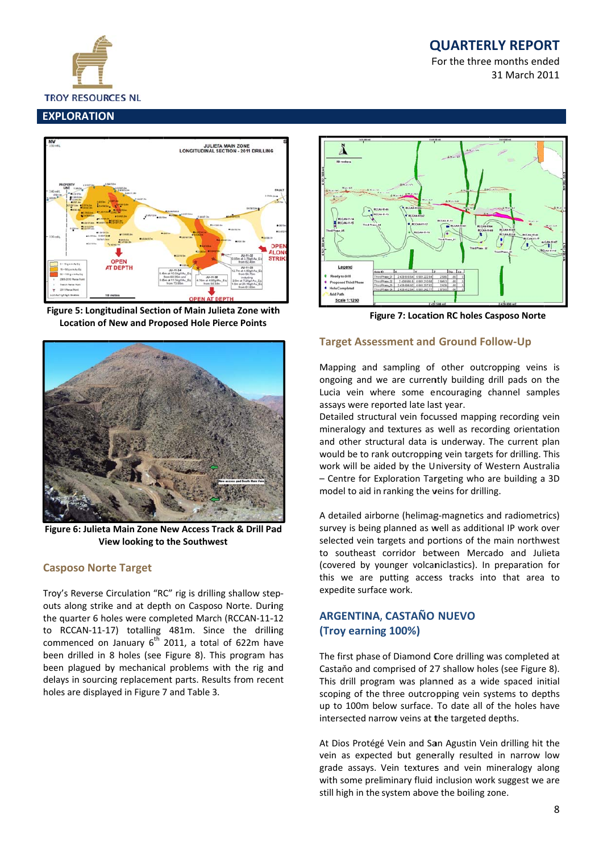

For the three months ended 31 March 2011

# **EXPLORATION**



Figure 5: Longitudinal Section of Main Julieta Zone with **Location of New and Proposed Hole Pierce Points** 



Figure 6: Julieta Main Zone New Access Track & Drill Pad View looking to the Southwest

## **Casposo Norte Target**

Troy's Reverse Circulation "RC" rig is drilling shallow stepouts along strike and at depth on Casposo Norte. During the quarter 6 holes were completed March (RCCAN-11-12 to RCCAN-11-17) totalling 481m. Since the drilling commenced on January  $6<sup>th</sup>$  2011, a total of 622m have been drilled in 8 holes (see Figure 8). This program has been plagued by mechanical problems with the rig and delays in sourcing replacement parts. Results from recent holes are displayed in Figure 7 and Table 3.



**Figure 7: Location RC holes Casposo Norte** 

# **Target Assessment and Ground Follow-Up**

Mapping and sampling of other outcropping veins is ongoing and we are currently building drill pads on the Lucia vein where some encouraging channel samples assays were reported late last year.

Detailed structural vein focussed mapping recording vein mineralogy and textures as well as recording orientation and other structural data is underway. The current plan would be to rank outcropping vein targets for drilling. This work will be aided by the University of Western Australia - Centre for Exploration Targeting who are building a 3D model to aid in ranking the veins for drilling.

A detailed airborne (helimag-magnetics and radiometrics) survey is being planned as well as additional IP work over selected vein targets and portions of the main northwest to southeast corridor between Mercado and Julieta (covered by younger volcaniclastics). In preparation for this we are putting access tracks into that area to expedite surface work.

# **ARGENTINA, CASTAÑO NUEVO** (Troy earning 100%)

The first phase of Diamond Core drilling was completed at Castaño and comprised of 27 shallow holes (see Figure 8). This drill program was planned as a wide spaced initial scoping of the three outcropping vein systems to depths up to 100m below surface. To date all of the holes have intersected narrow veins at the targeted depths.

At Dios Protégé Vein and San Agustin Vein drilling hit the vein as expected but generally resulted in narrow low grade assays. Vein textures and vein mineralogy along with some preliminary fluid inclusion work suggest we are still high in the system above the boiling zone.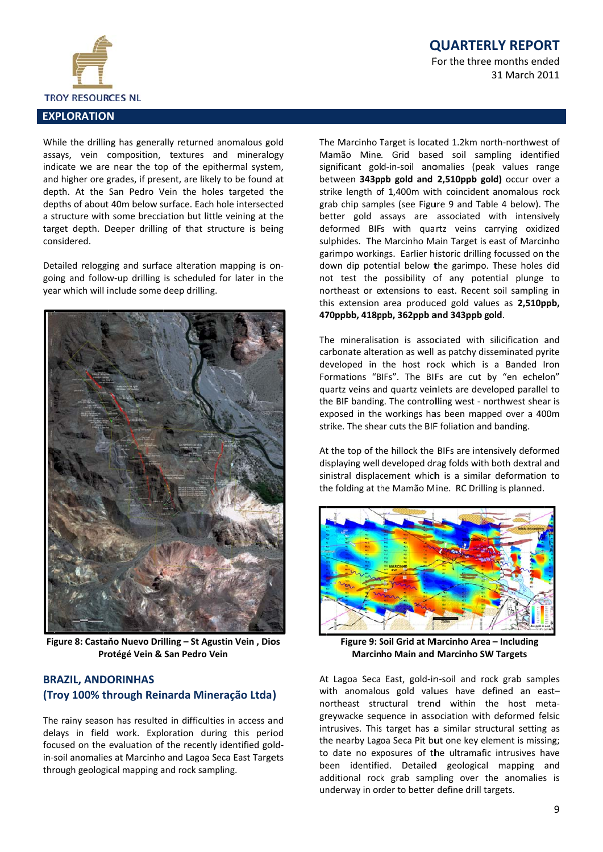For the three months ended 31 March 2011



## **EXPLORATION**

While the drilling has generally returned anomalous gold assays, vein composition, textures and mineralogy indicate we are near the top of the epithermal system, and higher ore grades, if present, are likely to be found at depth. At the San Pedro Vein the holes targeted the depths of about 40m below surface. Each hole intersected a structure with some brecciation but little veining at the target depth. Deeper drilling of that structure is being considered.

Detailed relogging and surface alteration mapping is ongoing and follow-up drilling is scheduled for later in the year which will include some deep drilling.



Figure 8: Castaňo Nuevo Drilling - St Agustin Vein, Dios Protégé Vein & San Pedro Vein

# **BRAZIL, ANDORINHAS** (Troy 100% through Reinarda Mineração Ltda)

The rainy season has resulted in difficulties in access and delays in field work. Exploration during this period focused on the evaluation of the recently identified goldin-soil anomalies at Marcinho and Lagoa Seca East Targets through geological mapping and rock sampling.

The Marcinho Target is located 1.2km north-northwest of Mamão Mine. Grid based soil sampling identified significant gold-in-soil anomalies (peak values range between 343ppb gold and 2,510ppb gold) occur over a strike length of 1,400m with coincident anomalous rock grab chip samples (see Figure 9 and Table 4 below). The better gold assays are associated with intensively deformed BIFs with quartz veins carrying oxidized sulphides. The Marcinho Main Target is east of Marcinho garimpo workings. Earlier historic drilling focussed on the down dip potential below the garimpo. These holes did not test the possibility of any potential plunge to northeast or extensions to east. Recent soil sampling in this extension area produced gold values as 2,510ppb, 470ppbb, 418ppb, 362ppb and 343ppb gold.

The mineralisation is associated with silicification and carbonate alteration as well as patchy disseminated pyrite developed in the host rock which is a Banded Iron Formations "BIFs". The BIFs are cut by "en echelon" quartz veins and quartz veinlets are developed parallel to the BIF banding. The controlling west - northwest shear is exposed in the workings has been mapped over a 400m strike. The shear cuts the BIF foliation and banding.

At the top of the hillock the BIFs are intensively deformed displaying well developed drag folds with both dextral and sinistral displacement which is a similar deformation to the folding at the Mamão Mine. RC Drilling is planned.



Figure 9: Soil Grid at Marcinho Area - Including **Marcinho Main and Marcinho SW Targets** 

At Lagoa Seca East, gold-in-soil and rock grab samples with anomalous gold values have defined an eastnortheast structural trend within the host metagreywacke sequence in association with deformed felsic intrusives. This target has a similar structural setting as the nearby Lagoa Seca Pit but one key element is missing; to date no exposures of the ultramafic intrusives have been identified. Detailed geological mapping and additional rock grab sampling over the anomalies is underway in order to better define drill targets.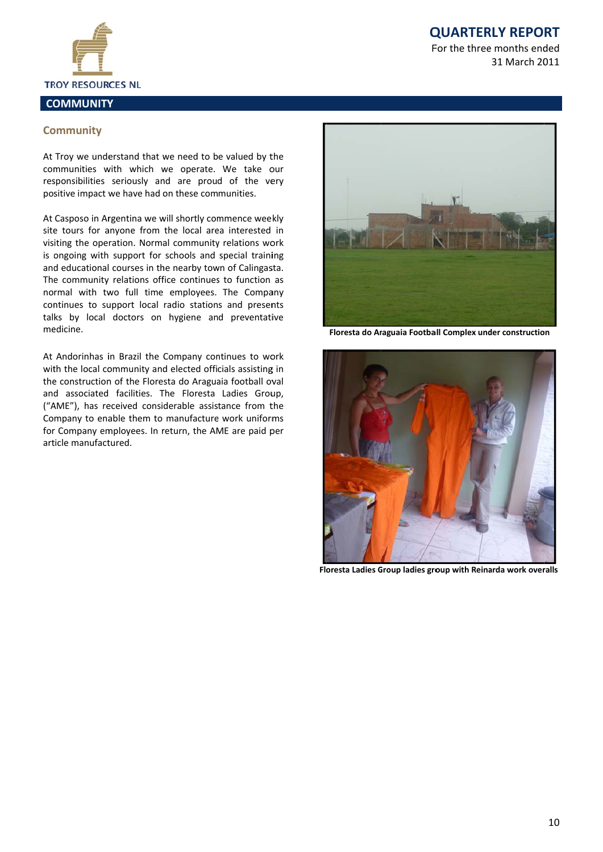

31 March 2011



**Co ommunity**

At Troy we understand that we need to be valued by the

communities with which we operate. We take our responsibilities seriously and are proud of the very positive impact we have had on these communities.

At Casposo in Argentina we will shortly commence weekly site tours for anyone from the local area interested in visiting the operation. Normal community relations work is ongoing with support for schools and special training and educational courses in the nearby town of Calingasta. The community relations office continues to function as normal with two full time employees. The Company continues to support local radio stations and presents talks by local doctors on hygiene and preventative medicine.

At Andorinhas in Brazil the Company continues to work with the local community and elected officials assisting in the construction of the Floresta do Araguaia football oval and associated facilities. The Floresta Ladies Group, ("AME"), has received considerable assistance from the Company to enable them to manufacture work uniforms for Company employees. In return, the AME are paid per art ticle manufact tured.



**Floresta do Araguaia Football Complex under construction** 



**Flo oresta Ladies G Group ladies gro oup with Reina arda work over ralls**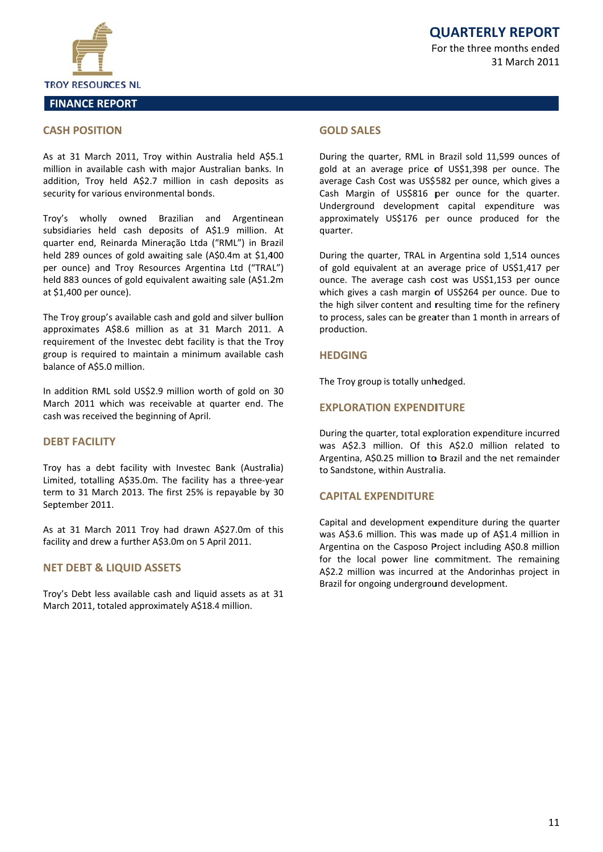

#### **CASH POSITION**

As at 31 March 2011, Troy within Australia held A\$5.1 million in available cash with major Australian banks. In addition, Troy held A\$2.7 million in cash deposits as security for various environmental bonds.

Troy's wholly owned Brazilian and Argentinean subsidiaries held cash deposits of A\$1.9 million. At quarter end, Reinarda Mineração Ltda ("RML") in Brazil held 289 ounces of gold awaiting sale (A\$0.4m at \$1,400 per ounce) and Troy Resources Argentina Ltd ("TRAL") held 883 ounces of gold equivalent awaiting sale (A\$1.2m) at \$1,400 per ounce).

The Trov group's available cash and gold and silver bullion approximates A\$8.6 million as at 31 March 2011. A requirement of the Investec debt facility is that the Troy group is required to maintain a minimum available cash balance of A\$5.0 million.

In addition RML sold US\$2.9 million worth of gold on 30 March 2011 which was receivable at quarter end. The cash was received the beginning of April.

#### **DEBT FACILITY**

Troy has a debt facility with Investec Bank (Australia) Limited, totalling A\$35.0m. The facility has a three-year term to 31 March 2013. The first 25% is repayable by 30 September 2011.

As at 31 March 2011 Troy had drawn A\$27.0m of this facility and drew a further A\$3.0m on 5 April 2011.

#### **NET DEBT & LIQUID ASSETS**

Troy's Debt less available cash and liquid assets as at 31 March 2011, totaled approximately A\$18.4 million.

#### **GOI D SALES**

During the quarter, RML in Brazil sold 11,599 ounces of gold at an average price of US\$1,398 per ounce. The average Cash Cost was US\$582 per ounce, which gives a Cash Margin of US\$816 per ounce for the quarter. Underground development capital expenditure was approximately US\$176 per ounce produced for the quarter.

During the quarter, TRAL in Argentina sold 1,514 ounces of gold equivalent at an average price of US\$1,417 per ounce. The average cash cost was US\$1,153 per ounce which gives a cash margin of US\$264 per ounce. Due to the high silver content and resulting time for the refinery to process, sales can be greater than 1 month in arrears of production.

#### **HEDGING**

The Troy group is totally unhedged.

#### **FXPLORATION EXPENDITURE**

During the quarter, total exploration expenditure incurred was A\$2.3 million. Of this A\$2.0 million related to Argentina, A\$0.25 million to Brazil and the net remainder to Sandstone, within Australia.

# **CAPITAL EXPENDITURF**

Capital and development expenditure during the quarter was A\$3.6 million. This was made up of A\$1.4 million in Argentina on the Casposo Project including A\$0.8 million for the local power line commitment. The remaining A\$2.2 million was incurred at the Andorinhas project in Brazil for ongoing underground development.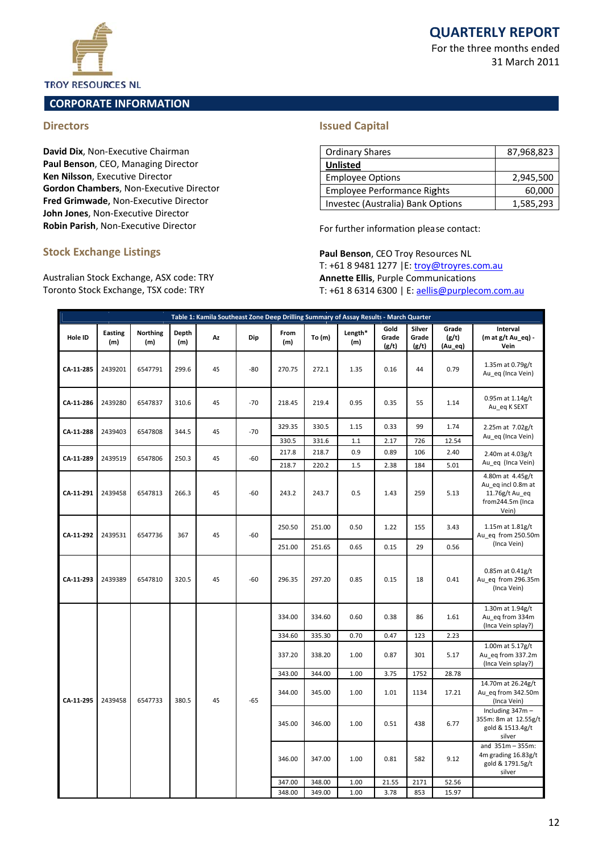For the three months ended 31 March 2011



#### **TROY RESOURCES NL**

# **CORPORATE INFORMATION**

# **Directors**

David Dix, Non-Executive Chairman Paul Benson, CEO, Managing Director Ken Nilsson, Executive Director Gordon Chambers, Non-Executive Director Fred Grimwade, Non-Executive Director John Jones, Non-Executive Director Robin Parish, Non-Executive Director

## **Stock Exchange Listings**

Australian Stock Exchange, ASX code: TRY Toronto Stock Exchange, TSX code: TRY

# **Issued Capital**

| <b>Ordinary Shares</b>             | 87,968,823 |
|------------------------------------|------------|
| <b>Unlisted</b>                    |            |
| <b>Employee Options</b>            | 2,945,500  |
| <b>Employee Performance Rights</b> | 60,000     |
| Investec (Australia) Bank Options  | 1,585,293  |

For further information please contact:

Paul Benson, CEO Troy Resources NL T: +61 8 9481 1277 | E: troy@troyres.com.au **Annette Ellis, Purple Communications** T: +61 8 6314 6300 | E: aellis@purplecom.com.au

|           |                       |                        |              | Table 1: Kamila Southeast Zone Deep Drilling Summary of Assay Results - March Quarter |        |             |        |                |                        |                          |                                        |                                                                                       |
|-----------|-----------------------|------------------------|--------------|---------------------------------------------------------------------------------------|--------|-------------|--------|----------------|------------------------|--------------------------|----------------------------------------|---------------------------------------------------------------------------------------|
| Hole ID   | <b>Easting</b><br>(m) | <b>Northing</b><br>(m) | Depth<br>(m) | Az                                                                                    | Dip    | From<br>(m) | To (m) | Length*<br>(m) | Gold<br>Grade<br>(g/t) | Silver<br>Grade<br>(g/t) | Grade<br>(g/t)<br>(Au_eq)              | Interval<br>(m at g/t Au_eq) -<br>Vein                                                |
| CA-11-285 | 2439201               | 6547791                | 299.6        | 45                                                                                    | $-80$  | 270.75      | 272.1  | 1.35           | 0.16                   | 44                       | 0.79                                   | 1.35m at 0.79g/t<br>Au_eq (Inca Vein)                                                 |
| CA-11-286 | 2439280               | 6547837                | 310.6        | 45                                                                                    | $-70$  | 218.45      | 219.4  | 0.95           | 0.35                   | 55                       | 1.14                                   | 0.95m at 1.14g/t<br>Au_eq K SEXT                                                      |
| CA-11-288 | 2439403               | 6547808                | 344.5        | 45                                                                                    | $-70$  | 329.35      | 330.5  | 1.15           | 0.33                   | 99                       | 1.74                                   | 2.25m at 7.02g/t<br>Au_eq (Inca Vein)                                                 |
|           |                       |                        |              |                                                                                       |        | 330.5       | 331.6  | 1.1            | 2.17                   | 726                      | 12.54                                  |                                                                                       |
| CA-11-289 | 2439519               | 6547806                | 250.3        | 45                                                                                    | $-60$  | 217.8       | 218.7  | 0.9            | 0.89                   | 106                      | 2.40                                   | 2.40m at 4.03g/t                                                                      |
|           |                       |                        |              |                                                                                       |        | 218.7       | 220.2  | 1.5            | 2.38                   | 184                      | 5.01                                   | Au_eq (Inca Vein)                                                                     |
| CA-11-291 | 2439458               | 6547813                | 266.3        | 45                                                                                    | -60    | 243.2       | 243.7  | 0.5            | 1.43                   | 259                      | 5.13                                   | 4.80m at 4.45g/t<br>Au eq incl 0.8m at<br>11.76g/t Au_eq<br>from244.5m (Inca<br>Vein) |
| CA-11-292 | 2439531               | 6547736<br>367         | 45           | $-60$                                                                                 | 250.50 | 251.00      | 0.50   | 1.22           | 155                    | 3.43                     | 1.15m at 1.81g/t<br>Au eq from 250.50m |                                                                                       |
|           |                       |                        |              |                                                                                       |        | 251.00      | 251.65 | 0.65           | 0.15                   | 29                       | 0.56                                   | (Inca Vein)                                                                           |
| CA-11-293 | 2439389               | 6547810                | 320.5        | 45                                                                                    | $-60$  | 296.35      | 297.20 | 0.85           | 0.15                   | 18                       | 0.41                                   | 0.85m at 0.41g/t<br>Au eq from 296.35m<br>(Inca Vein)                                 |
|           |                       |                        |              |                                                                                       |        | 334.00      | 334.60 | 0.60           | 0.38                   | 86                       | 1.61                                   | 1.30m at 1.94g/t<br>Au_eq from 334m<br>(Inca Vein splay?)                             |
|           |                       |                        |              |                                                                                       |        | 334.60      | 335.30 | 0.70           | 0.47                   | 123                      | 2.23                                   |                                                                                       |
|           |                       |                        |              |                                                                                       |        | 337.20      | 338.20 | 1.00           | 0.87                   | 301                      | 5.17                                   | 1.00m at 5.17g/t<br>Au eq from 337.2m<br>(Inca Vein splay?)                           |
|           |                       |                        |              |                                                                                       |        | 343.00      | 344.00 | 1.00           | 3.75                   | 1752                     | 28.78                                  |                                                                                       |
| CA-11-295 | 2439458               | 6547733                | 380.5        | 45                                                                                    | $-65$  | 344.00      | 345.00 | 1.00           | 1.01                   | 1134                     | 17.21                                  | 14.70m at 26.24g/t<br>Au eq from 342.50m<br>(Inca Vein)                               |
|           |                       |                        |              |                                                                                       |        | 345.00      | 346.00 | 1.00           | 0.51                   | 438                      | 6.77                                   | Including 347m -<br>355m: 8m at 12.55g/t<br>gold & 1513.4g/t<br>silver                |
|           |                       |                        |              |                                                                                       |        | 346.00      | 347.00 | 1.00           | 0.81                   | 582                      | 9.12                                   | and $351m - 355m$ :<br>4m grading 16.83g/t<br>gold & 1791.5g/t<br>silver              |
|           |                       |                        |              |                                                                                       |        | 347.00      | 348.00 | 1.00           | 21.55                  | 2171                     | 52.56                                  |                                                                                       |
|           |                       |                        |              |                                                                                       |        | 348.00      | 349.00 | 1.00           | 3.78                   | 853                      | 15.97                                  |                                                                                       |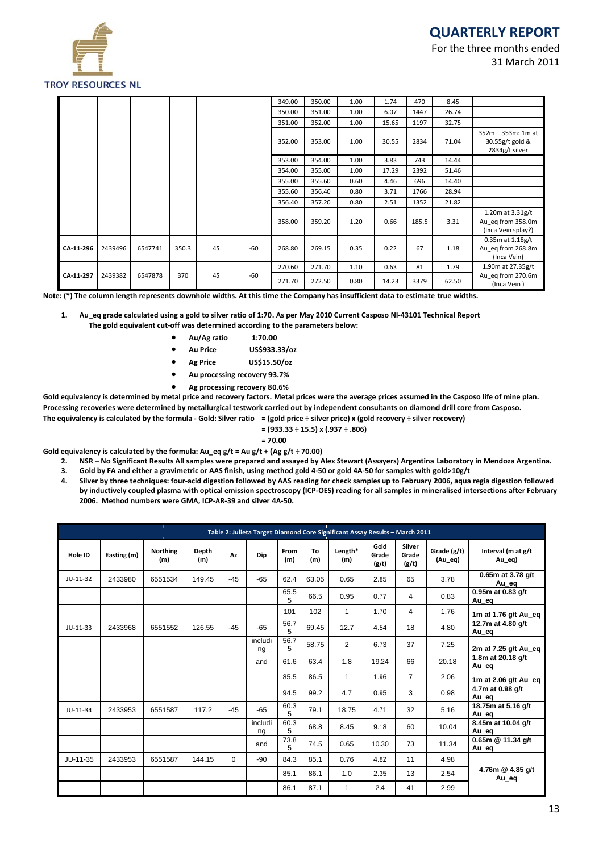

For the three months ended 31 March 2011

|           |         |         |       |    |       | 349.00 | 350.00 | 1.00 | 1.74  | 470   | 8.45  |                                                                |
|-----------|---------|---------|-------|----|-------|--------|--------|------|-------|-------|-------|----------------------------------------------------------------|
|           |         |         |       |    |       | 350.00 | 351.00 | 1.00 | 6.07  | 1447  | 26.74 |                                                                |
|           |         |         |       |    |       | 351.00 | 352.00 | 1.00 | 15.65 | 1197  | 32.75 |                                                                |
|           |         |         |       |    |       | 352.00 | 353.00 | 1.00 | 30.55 | 2834  | 71.04 | 352m - 353m: 1m at<br>30.55g/t gold &<br>2834g/t silver        |
|           |         |         |       |    |       | 353.00 | 354.00 | 1.00 | 3.83  | 743   | 14.44 |                                                                |
|           |         |         |       |    |       | 354.00 | 355.00 | 1.00 | 17.29 | 2392  | 51.46 |                                                                |
|           |         |         |       |    |       | 355.00 | 355.60 | 0.60 | 4.46  | 696   | 14.40 |                                                                |
|           |         |         |       |    |       | 355.60 | 356.40 | 0.80 | 3.71  | 1766  | 28.94 |                                                                |
|           |         |         |       |    |       | 356.40 | 357.20 | 0.80 | 2.51  | 1352  | 21.82 |                                                                |
|           |         |         |       |    |       | 358.00 | 359.20 | 1.20 | 0.66  | 185.5 | 3.31  | 1.20 $m$ at 3.31g/t<br>Au eq from 358.0m<br>(Inca Vein splay?) |
| CA-11-296 | 2439496 | 6547741 | 350.3 | 45 | -60   | 268.80 | 269.15 | 0.35 | 0.22  | 67    | 1.18  | $0.35m$ at $1.18g/t$<br>Au eq from 268.8m<br>(Inca Vein)       |
|           |         |         |       |    |       | 270.60 | 271.70 | 1.10 | 0.63  | 81    | 1.79  | 1.90m at 27.35g/t                                              |
| CA-11-297 | 2439382 | 6547878 | 370   | 45 | $-60$ | 271.70 | 272.50 | 0.80 | 14.23 | 3379  | 62.50 | Au eq from 270.6m<br>$(lnc_2$ Vain $)$                         |

Note: (\*) The column length represents downhole widths. At this time the Company has insufficient data to estimate true widths.

Au\_eq grade calculated using a gold to silver ratio of 1:70. As per May 2010 Current Casposo NI-43101 Technical Report  $\mathbf{1}$ The gold equivalent cut-off was determined according to the parameters below:

- Au/Ag ratio 1:70.00
- **Au Price** US\$933.33/oz
- US\$15.50/oz **Ag Price**
- $\bullet$ Au processing recovery 93.7%
- Ag processing recovery 80.6%

Gold equivalency is determined by metal price and recovery factors. Metal prices were the average prices assumed in the Casposo life of mine plan. Processing recoveries were determined by metallurgical testwork carried out by independent consultants on diamond drill core from Casposo. The equivalency is calculated by the formula - Gold: Silver ratio = (gold price ÷ silver price) x (gold recovery ÷ silver recovery)

 $=(933.33 \div 15.5) \times (.937 \div .806)$ 

$$
\mathbf{70.00}
$$

Gold equivalency is calculated by the formula: Au eq  $g/t = Au g/t + (Ag g/t + 70.00)$ 

- NSR No Significant Results All samples were prepared and assayed by Alex Stewart (Assayers) Argentina Laboratory in Mendoza Argentina.  $2.$
- Gold by FA and either a gravimetric or AAS finish, using method gold 4-50 or gold 4A-50 for samples with gold>10g/t  $3.$

 $=$  1

Silver by three techniques: four-acid digestion followed by AAS reading for check samples up to February 2006, aqua regia digestion followed  $\overline{\mathbf{A}}$ by inductively coupled plasma with optical emission spectroscopy (ICP-OES) reading for all samples in mineralised intersections after February 2006. Method numbers were GMA, ICP-AR-39 and silver 4A-50.

|            |             |                        |              |          |               |             |           | Table 2: Julieta Target Diamond Core Significant Assay Results - March 2011 |                        |                                 |                        |                              |
|------------|-------------|------------------------|--------------|----------|---------------|-------------|-----------|-----------------------------------------------------------------------------|------------------------|---------------------------------|------------------------|------------------------------|
| Hole ID    | Easting (m) | <b>Northing</b><br>(m) | Depth<br>(m) | Az       | Dip           | From<br>(m) | To<br>(m) | Length*<br>(m)                                                              | Gold<br>Grade<br>(g/t) | <b>Silver</b><br>Grade<br>(g/t) | Grade (g/t)<br>(Au_eq) | Interval (m at g/t<br>Au_eq) |
| $JU-11-32$ | 2433980     | 6551534                | 149.45       | $-45$    | $-65$         | 62.4        | 63.05     | 0.65                                                                        | 2.85                   | 65                              | 3.78                   | 0.65m at 3.78 g/t<br>Au_eq   |
|            |             |                        |              |          |               | 65.5<br>5   | 66.5      | 0.95                                                                        | 0.77                   | 4                               | 0.83                   | 0.95m at 0.83 g/t<br>Au_eq   |
|            |             |                        |              |          |               | 101         | 102       | $\mathbf{1}$                                                                | 1.70                   | $\overline{4}$                  | 1.76                   | 1m at 1.76 g/t Au_eq         |
| $JU-11-33$ | 2433968     | 6551552                | 126.55       | $-45$    | $-65$         | 56.7<br>5   | 69.45     | 12.7                                                                        | 4.54                   | 18                              | 4.80                   | 12.7m at 4.80 g/t<br>Au eg   |
|            |             |                        |              |          | includi<br>ng | 56.7<br>5   | 58.75     | $\overline{2}$                                                              | 6.73                   | 37                              | 7.25                   | 2m at 7.25 g/t Au_eq         |
|            |             |                        |              |          | and           | 61.6        | 63.4      | 1.8                                                                         | 19.24                  | 66                              | 20.18                  | 1.8m at 20.18 g/t<br>Au_eq   |
|            |             |                        |              |          |               | 85.5        | 86.5      | $\mathbf{1}$                                                                | 1.96                   | $\overline{7}$                  | 2.06                   | 1m at 2.06 g/t Au_eq         |
|            |             |                        |              |          |               | 94.5        | 99.2      | 4.7                                                                         | 0.95                   | 3                               | 0.98                   | 4.7m at 0.98 g/t<br>Au eq    |
| $JU-11-34$ | 2433953     | 6551587                | 117.2        | $-45$    | $-65$         | 60.3<br>5   | 79.1      | 18.75                                                                       | 4.71                   | 32                              | 5.16                   | 18.75m at 5.16 g/t<br>Au eq  |
|            |             |                        |              |          | includi<br>ng | 60.3<br>5   | 68.8      | 8.45                                                                        | 9.18                   | 60                              | 10.04                  | 8.45m at 10.04 g/t<br>Au_eq  |
|            |             |                        |              |          | and           | 73.8<br>5   | 74.5      | 0.65                                                                        | 10.30                  | 73                              | 11.34                  | 0.65m @ 11.34 g/t<br>Au eg   |
| JU-11-35   | 2433953     | 6551587                | 144.15       | $\Omega$ | -90           | 84.3        | 85.1      | 0.76                                                                        | 4.82                   | 11                              | 4.98                   |                              |
|            |             |                        |              |          |               | 85.1        | 86.1      | 1.0                                                                         | 2.35                   | 13                              | 2.54                   | 4.76m @ 4.85 g/t<br>Au eg    |
|            |             |                        |              |          |               | 86.1        | 87.1      | $\mathbf{1}$                                                                | 2.4                    | 41                              | 2.99                   |                              |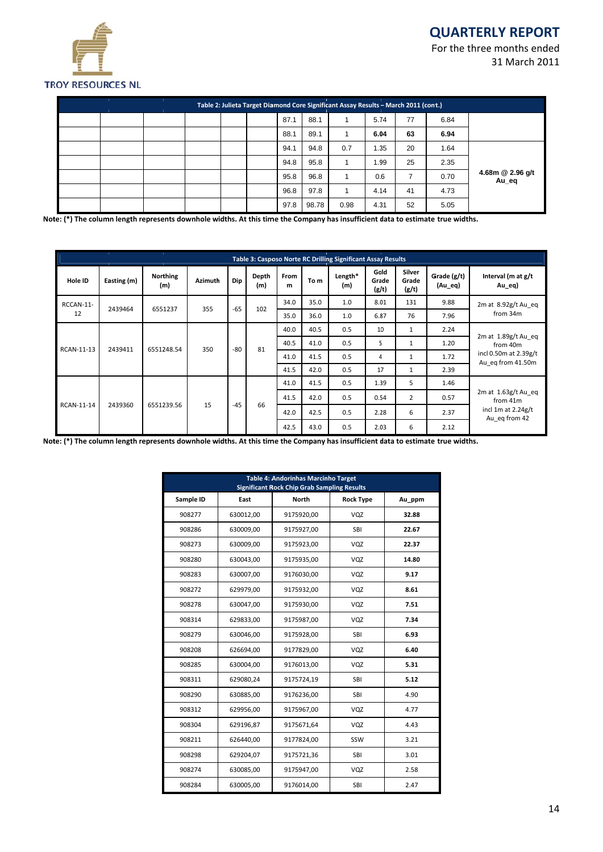For the three months ended 31 March 2011



|                           |      |    |      | Table 2: Julieta Target Diamond Core Significant Assay Results - March 2011 (cont.) |       |      |  |  |  |
|---------------------------|------|----|------|-------------------------------------------------------------------------------------|-------|------|--|--|--|
|                           | 6.84 | 77 | 5.74 |                                                                                     | 88.1  | 87.1 |  |  |  |
|                           | 6.94 | 63 | 6.04 |                                                                                     | 89.1  | 88.1 |  |  |  |
|                           | 1.64 | 20 | 1.35 | 0.7                                                                                 | 94.8  | 94.1 |  |  |  |
|                           | 2.35 | 25 | 1.99 |                                                                                     | 95.8  | 94.8 |  |  |  |
| 4.68m @ 2.96 g/t<br>Au_eq | 0.70 |    | 0.6  |                                                                                     | 96.8  | 95.8 |  |  |  |
|                           | 4.73 | 41 | 4.14 |                                                                                     | 97.8  | 96.8 |  |  |  |
|                           | 5.05 | 52 | 4.31 | 0.98                                                                                | 98.78 | 97.8 |  |  |  |

Note: (\*) The column length represents downhole widths. At this time the Company has insufficient data to estimate true widths.

|            |             |                        |                |       |              |           |      | Table 3: Casposo Norte RC Drilling Significant Assay Results |                        |                          |                        |                                            |                                     |      |                |      |                                     |
|------------|-------------|------------------------|----------------|-------|--------------|-----------|------|--------------------------------------------------------------|------------------------|--------------------------|------------------------|--------------------------------------------|-------------------------------------|------|----------------|------|-------------------------------------|
| Hole ID    | Easting (m) | <b>Northing</b><br>(m) | <b>Azimuth</b> | Dip   | Depth<br>(m) | From<br>m | To m | Length*<br>(m)                                               | Gold<br>Grade<br>(g/t) | Silver<br>Grade<br>(g/t) | Grade (g/t)<br>(Au_eq) | Interval (m at g/t<br>$Au$ eq)             |                                     |      |                |      |                                     |
| RCCAN-11-  | 2439464     | 6551237                | 355            | $-65$ | 102          | 34.0      | 35.0 | 1.0                                                          | 8.01                   | 131                      | 9.88                   | 2m at 8.92g/t Au eq<br>from 34m            |                                     |      |                |      |                                     |
| 12         |             |                        |                |       |              | 35.0      | 36.0 | 1.0                                                          | 6.87                   | 76                       | 7.96                   |                                            |                                     |      |                |      |                                     |
|            |             |                        |                |       | 40.0         | 40.5      | 0.5  | 10                                                           | $\mathbf{1}$           | 2.24                     |                        |                                            |                                     |      |                |      |                                     |
| RCAN-11-13 | 2439411     | 6551248.54             | 350            | $-80$ | 81           |           | 40.5 | 41.0                                                         | 0.5                    | 5                        | $\mathbf{1}$           | 1.20                                       | $2m$ at $1.89g/t$ Au eq<br>from 40m |      |                |      |                                     |
|            |             |                        |                |       |              | 41.0      | 41.5 | 0.5                                                          | 4                      | $\mathbf{1}$             | 1.72                   | incl 0.50m at 2.39g/t<br>Au eq from 41.50m |                                     |      |                |      |                                     |
|            |             |                        |                |       |              | 41.5      | 42.0 | 0.5                                                          | 17                     | 1                        | 2.39                   |                                            |                                     |      |                |      |                                     |
|            |             |                        |                |       |              | 41.0      | 41.5 | 0.5                                                          | 1.39                   | 5                        | 1.46                   |                                            |                                     |      |                |      |                                     |
|            |             |                        |                |       | 66           |           |      |                                                              |                        |                          | 41.5                   | 42.0                                       | 0.5                                 | 0.54 | $\overline{2}$ | 0.57 | $2m$ at $1.63g/t$ Au eq<br>from 41m |
| RCAN-11-14 | 2439360     | 6551239.56             | 15             | $-45$ |              | 42.0      | 42.5 | 0.5                                                          | 2.28                   | 6                        | 2.37                   | incl 1m at $2.24g/t$<br>Au eq from 42      |                                     |      |                |      |                                     |
|            |             |                        |                |       |              |           |      |                                                              |                        | 42.5                     | 43.0                   | 0.5                                        | 2.03                                | 6    | 2.12           |      |                                     |

Note: (\*) The column length represents downhole widths. At this time the Company has insufficient data to estimate true widths.

| <b>Table 4: Andorinhas Marcinho Target</b><br><b>Significant Rock Chip Grab Sampling Results</b> |           |              |                  |        |  |  |  |  |  |  |
|--------------------------------------------------------------------------------------------------|-----------|--------------|------------------|--------|--|--|--|--|--|--|
| Sample ID                                                                                        | East      | <b>North</b> | <b>Rock Type</b> | Au_ppm |  |  |  |  |  |  |
| 908277                                                                                           | 630012,00 | 9175920,00   | VQZ              | 32.88  |  |  |  |  |  |  |
| 908286                                                                                           | 630009,00 | 9175927.00   | SBI              | 22.67  |  |  |  |  |  |  |
| 908273                                                                                           | 630009,00 | 9175923,00   | VQZ              | 22.37  |  |  |  |  |  |  |
| 908280                                                                                           | 630043,00 | 9175935,00   | VQZ              | 14.80  |  |  |  |  |  |  |
| 908283                                                                                           | 630007,00 | 9176030,00   | VQZ              | 9.17   |  |  |  |  |  |  |
| 908272                                                                                           | 629979,00 | 9175932,00   | VQZ              | 8.61   |  |  |  |  |  |  |
| 908278                                                                                           | 630047,00 | 9175930,00   | VQZ              | 7.51   |  |  |  |  |  |  |
| 908314                                                                                           | 629833,00 | 9175987,00   | VQZ              | 7.34   |  |  |  |  |  |  |
| 908279                                                                                           | 630046,00 | 9175928,00   | <b>SBI</b>       | 6.93   |  |  |  |  |  |  |
| 908208                                                                                           | 626694,00 | 9177829,00   | VQZ              | 6.40   |  |  |  |  |  |  |
| 908285                                                                                           | 630004,00 | 9176013,00   | VQZ              | 5.31   |  |  |  |  |  |  |
| 908311                                                                                           | 629080,24 | 9175724,19   | <b>SBI</b>       | 5.12   |  |  |  |  |  |  |
| 908290                                                                                           | 630885,00 | 9176236,00   | <b>SBI</b>       | 4.90   |  |  |  |  |  |  |
| 908312                                                                                           | 629956,00 | 9175967,00   | VQZ              | 4.77   |  |  |  |  |  |  |
| 908304                                                                                           | 629196,87 | 9175671,64   | VQZ              | 4.43   |  |  |  |  |  |  |
| 908211                                                                                           | 626440,00 | 9177824,00   | SSW              | 3.21   |  |  |  |  |  |  |
| 908298                                                                                           | 629204,07 | 9175721,36   | <b>SBI</b>       | 3.01   |  |  |  |  |  |  |
| 908274                                                                                           | 630085,00 | 9175947.00   | VQZ              | 2.58   |  |  |  |  |  |  |
| 908284                                                                                           | 630005,00 | 9176014,00   | <b>SBI</b>       | 2.47   |  |  |  |  |  |  |